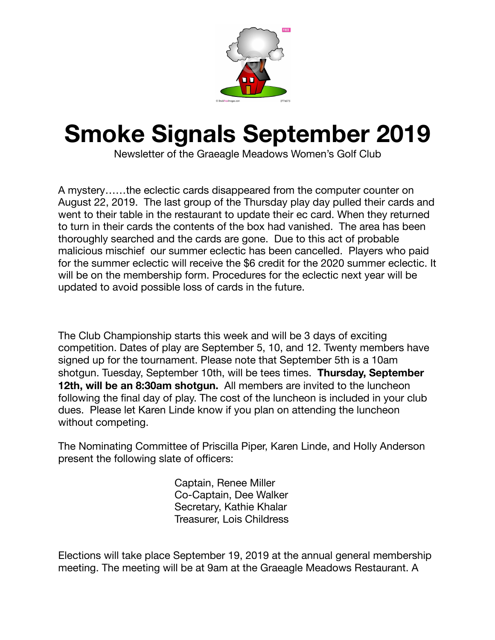

## **Smoke Signals September 2019**

Newsletter of the Graeagle Meadows Women's Golf Club

A mystery……the eclectic cards disappeared from the computer counter on August 22, 2019. The last group of the Thursday play day pulled their cards and went to their table in the restaurant to update their ec card. When they returned to turn in their cards the contents of the box had vanished. The area has been thoroughly searched and the cards are gone. Due to this act of probable malicious mischief our summer eclectic has been cancelled. Players who paid for the summer eclectic will receive the \$6 credit for the 2020 summer eclectic. It will be on the membership form. Procedures for the eclectic next year will be updated to avoid possible loss of cards in the future.

The Club Championship starts this week and will be 3 days of exciting competition. Dates of play are September 5, 10, and 12. Twenty members have signed up for the tournament. Please note that September 5th is a 10am shotgun. Tuesday, September 10th, will be tees times. **Thursday, September 12th, will be an 8:30am shotgun.** All members are invited to the luncheon following the final day of play. The cost of the luncheon is included in your club dues. Please let Karen Linde know if you plan on attending the luncheon without competing.

The Nominating Committee of Priscilla Piper, Karen Linde, and Holly Anderson present the following slate of officers:

> Captain, Renee Miller Co-Captain, Dee Walker Secretary, Kathie Khalar Treasurer, Lois Childress

Elections will take place September 19, 2019 at the annual general membership meeting. The meeting will be at 9am at the Graeagle Meadows Restaurant. A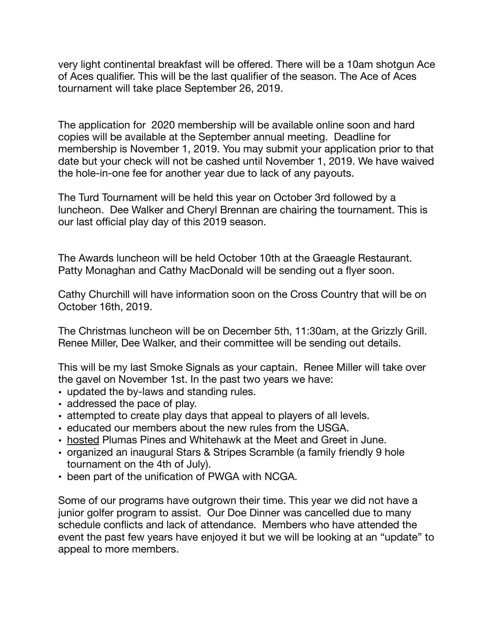very light continental breakfast will be offered. There will be a 10am shotgun Ace of Aces qualifier. This will be the last qualifier of the season. The Ace of Aces tournament will take place September 26, 2019.

The application for 2020 membership will be available online soon and hard copies will be available at the September annual meeting. Deadline for membership is November 1, 2019. You may submit your application prior to that date but your check will not be cashed until November 1, 2019. We have waived the hole-in-one fee for another year due to lack of any payouts.

The Turd Tournament will be held this year on October 3rd followed by a luncheon. Dee Walker and Cheryl Brennan are chairing the tournament. This is our last official play day of this 2019 season.

The Awards luncheon will be held October 10th at the Graeagle Restaurant. Patty Monaghan and Cathy MacDonald will be sending out a flyer soon.

Cathy Churchill will have information soon on the Cross Country that will be on October 16th, 2019.

The Christmas luncheon will be on December 5th, 11:30am, at the Grizzly Grill. Renee Miller, Dee Walker, and their committee will be sending out details.

This will be my last Smoke Signals as your captain. Renee Miller will take over the gavel on November 1st. In the past two years we have:

- updated the by-laws and standing rules.
- addressed the pace of play.
- attempted to create play days that appeal to players of all levels.
- educated our members about the new rules from the USGA.
- hosted Plumas Pines and Whitehawk at the Meet and Greet in June.
- organized an inaugural Stars & Stripes Scramble (a family friendly 9 hole tournament on the 4th of July).
- been part of the unification of PWGA with NCGA.

Some of our programs have outgrown their time. This year we did not have a junior golfer program to assist. Our Doe Dinner was cancelled due to many schedule conflicts and lack of attendance. Members who have attended the event the past few years have enjoyed it but we will be looking at an "update" to appeal to more members.